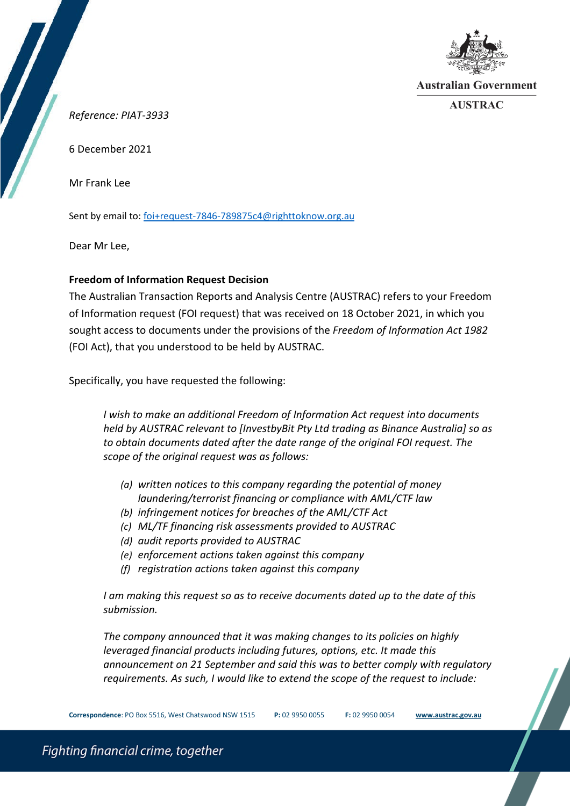

**Australian Government** 

**AUSTRAC** 

*Reference: PIAT-3933*

6 December 2021

Mr Frank Lee

Sent by email to[: foi+request-7846-789875c4@righttoknow.org.au](mailto:xxxxxxxxxxxxxxxxxxxxxxxxx@xxxxxxxxxxx.xxx.xx)

Dear Mr Lee,

# **Freedom of Information Request Decision**

The Australian Transaction Reports and Analysis Centre (AUSTRAC) refers to your Freedom of Information request (FOI request) that was received on 18 October 2021, in which you sought access to documents under the provisions of the *Freedom of Information Act 1982*  (FOI Act), that you understood to be held by AUSTRAC.

Specifically, you have requested the following:

*I wish to make an additional Freedom of Information Act request into documents held by AUSTRAC relevant to [InvestbyBit Pty Ltd trading as Binance Australia] so as to obtain documents dated after the date range of the original FOI request. The scope of the original request was as follows:*

- *(a) written notices to this company regarding the potential of money laundering/terrorist financing or compliance with AML/CTF law*
- *(b) infringement notices for breaches of the AML/CTF Act*
- *(c) ML/TF financing risk assessments provided to AUSTRAC*
- *(d) audit reports provided to AUSTRAC*
- *(e) enforcement actions taken against this company*
- *(f) registration actions taken against this company*

*I am making this request so as to receive documents dated up to the date of this submission.*

*The company announced that it was making changes to its policies on highly leveraged financial products including futures, options, etc. It made this announcement on 21 September and said this was to better comply with regulatory requirements. As such, I would like to extend the scope of the request to include:*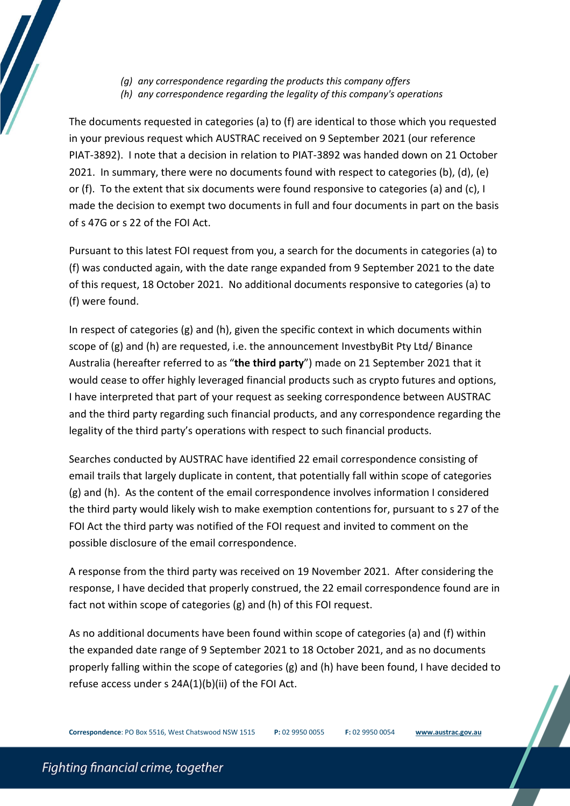- *(g) any correspondence regarding the products this company offers*
- *(h) any correspondence regarding the legality of this company's operations*

The documents requested in categories (a) to (f) are identical to those which you requested in your previous request which AUSTRAC received on 9 September 2021 (our reference PIAT-3892). I note that a decision in relation to PIAT-3892 was handed down on 21 October 2021. In summary, there were no documents found with respect to categories (b), (d), (e) or (f). To the extent that six documents were found responsive to categories (a) and (c), I made the decision to exempt two documents in full and four documents in part on the basis of s 47G or s 22 of the FOI Act.

Pursuant to this latest FOI request from you, a search for the documents in categories (a) to (f) was conducted again, with the date range expanded from 9 September 2021 to the date of this request, 18 October 2021. No additional documents responsive to categories (a) to (f) were found.

In respect of categories (g) and (h), given the specific context in which documents within scope of (g) and (h) are requested, i.e. the announcement InvestbyBit Pty Ltd/ Binance Australia (hereafter referred to as "**the third party**") made on 21 September 2021 that it would cease to offer highly leveraged financial products such as crypto futures and options, I have interpreted that part of your request as seeking correspondence between AUSTRAC and the third party regarding such financial products, and any correspondence regarding the legality of the third party's operations with respect to such financial products.

Searches conducted by AUSTRAC have identified 22 email correspondence consisting of email trails that largely duplicate in content, that potentially fall within scope of categories (g) and (h). As the content of the email correspondence involves information I considered the third party would likely wish to make exemption contentions for, pursuant to s 27 of the FOI Act the third party was notified of the FOI request and invited to comment on the possible disclosure of the email correspondence.

A response from the third party was received on 19 November 2021. After considering the response, I have decided that properly construed, the 22 email correspondence found are in fact not within scope of categories (g) and (h) of this FOI request.

As no additional documents have been found within scope of categories (a) and (f) within the expanded date range of 9 September 2021 to 18 October 2021, and as no documents properly falling within the scope of categories (g) and (h) have been found, I have decided to refuse access under s 24A(1)(b)(ii) of the FOI Act.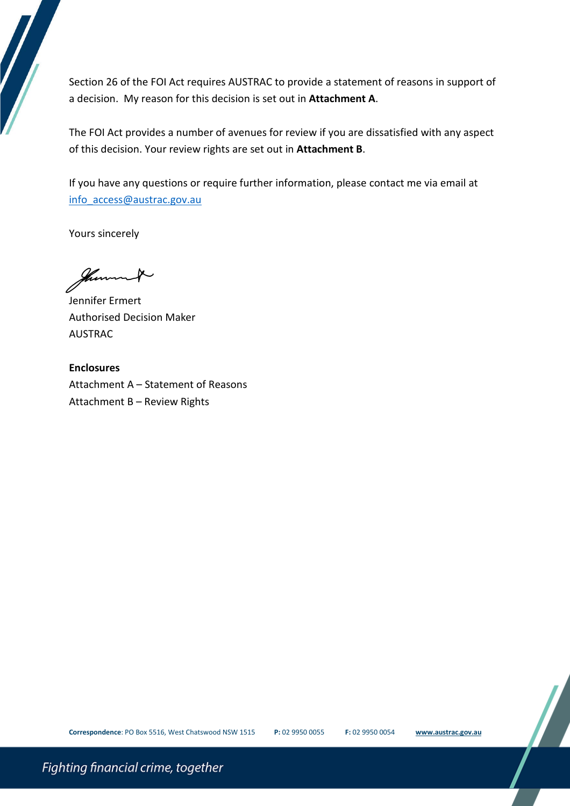Section 26 of the FOI Act requires AUSTRAC to provide a statement of reasons in support of a decision. My reason for this decision is set out in **Attachment A**.

The FOI Act provides a number of avenues for review if you are dissatisfied with any aspect of this decision. Your review rights are set out in **Attachment B**.

If you have any questions or require further information, please contact me via email at [info\\_access@austrac.gov.au](mailto:xxxxxxxxxxx@xxxxxxx.xxx.xx)

Yours sincerely

fherm

Jennifer Ermert Authorised Decision Maker AUSTRAC

**Enclosures** Attachment A – Statement of Reasons Attachment B – Review Rights

**Correspondence**: PO Box 5516, West Chatswood NSW 1515 **P:** 02 9950 0055 **F:** 02 9950 0054 **[www.austrac.gov.au](http://www.austrac.gov.au/)**

Fighting financial crime, together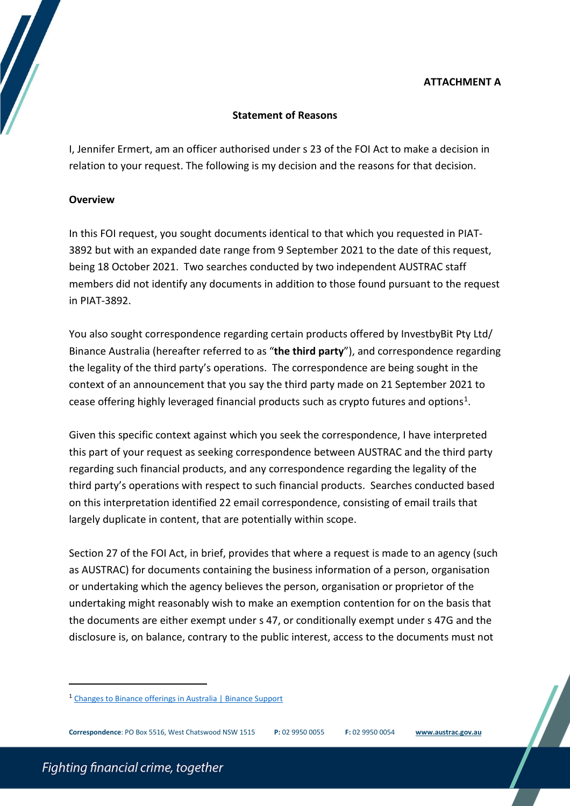# **ATTACHMENT A**

# **Statement of Reasons**

I, Jennifer Ermert, am an officer authorised under s 23 of the FOI Act to make a decision in relation to your request. The following is my decision and the reasons for that decision.

#### **Overview**

In this FOI request, you sought documents identical to that which you requested in PIAT-3892 but with an expanded date range from 9 September 2021 to the date of this request, being 18 October 2021. Two searches conducted by two independent AUSTRAC staff members did not identify any documents in addition to those found pursuant to the request in PIAT-3892.

You also sought correspondence regarding certain products offered by InvestbyBit Pty Ltd/ Binance Australia (hereafter referred to as "**the third party**"), and correspondence regarding the legality of the third party's operations. The correspondence are being sought in the context of an announcement that you say the third party made on 21 September 2021 to cease offering highly leveraged financial products such as crypto futures and options[1](#page-3-0).

Given this specific context against which you seek the correspondence, I have interpreted this part of your request as seeking correspondence between AUSTRAC and the third party regarding such financial products, and any correspondence regarding the legality of the third party's operations with respect to such financial products. Searches conducted based on this interpretation identified 22 email correspondence, consisting of email trails that largely duplicate in content, that are potentially within scope.

Section 27 of the FOI Act, in brief, provides that where a request is made to an agency (such as AUSTRAC) for documents containing the business information of a person, organisation or undertaking which the agency believes the person, organisation or proprietor of the undertaking might reasonably wish to make an exemption contention for on the basis that the documents are either exempt under s 47, or conditionally exempt under s 47G and the disclosure is, on balance, contrary to the public interest, access to the documents must not

 $\overline{a}$ 

<span id="page-3-0"></span><sup>1</sup> [Changes to Binance offerings in Australia | Binance Support](https://www.binance.com/en/support/announcement/0d7c52e9f7c04ae784480eb17fd13157)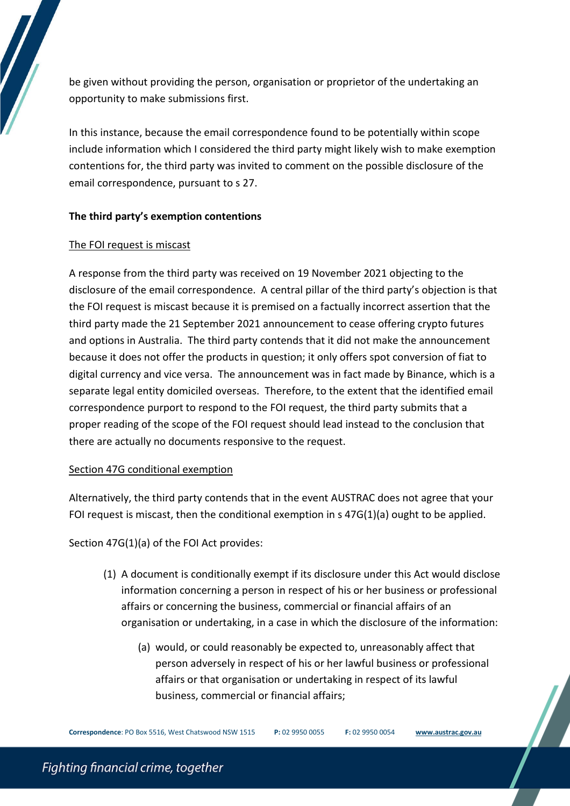be given without providing the person, organisation or proprietor of the undertaking an opportunity to make submissions first.

In this instance, because the email correspondence found to be potentially within scope include information which I considered the third party might likely wish to make exemption contentions for, the third party was invited to comment on the possible disclosure of the email correspondence, pursuant to s 27.

#### **The third party's exemption contentions**

#### The FOI request is miscast

A response from the third party was received on 19 November 2021 objecting to the disclosure of the email correspondence. A central pillar of the third party's objection is that the FOI request is miscast because it is premised on a factually incorrect assertion that the third party made the 21 September 2021 announcement to cease offering crypto futures and options in Australia. The third party contends that it did not make the announcement because it does not offer the products in question; it only offers spot conversion of fiat to digital currency and vice versa. The announcement was in fact made by Binance, which is a separate legal entity domiciled overseas. Therefore, to the extent that the identified email correspondence purport to respond to the FOI request, the third party submits that a proper reading of the scope of the FOI request should lead instead to the conclusion that there are actually no documents responsive to the request.

#### Section 47G conditional exemption

Alternatively, the third party contends that in the event AUSTRAC does not agree that your FOI request is miscast, then the conditional exemption in  $s$  47G(1)(a) ought to be applied.

Section 47G(1)(a) of the FOI Act provides:

- (1) A [document](http://www.austlii.edu.au/cgi-bin/viewdoc/au/legis/cth/consol_act/foia1982222/s4.html#document) is [conditionally exempt](http://www.austlii.edu.au/cgi-bin/viewdoc/au/legis/cth/consol_act/foia1982222/s4.html#conditionally_exempt) if its disclosure under this Act would disclose information concerning a person in respect of his or her business or professional affairs or concerning the business, commercial or financial affairs of an organisation or undertaking, in a case in which the disclosure of the information:
	- (a) would, or could reasonably be expected to, unreasonably affect that person adversely in respect of his or her lawful business or professional affairs or that organisation or undertaking in respect of its lawful business, commercial or financial affairs;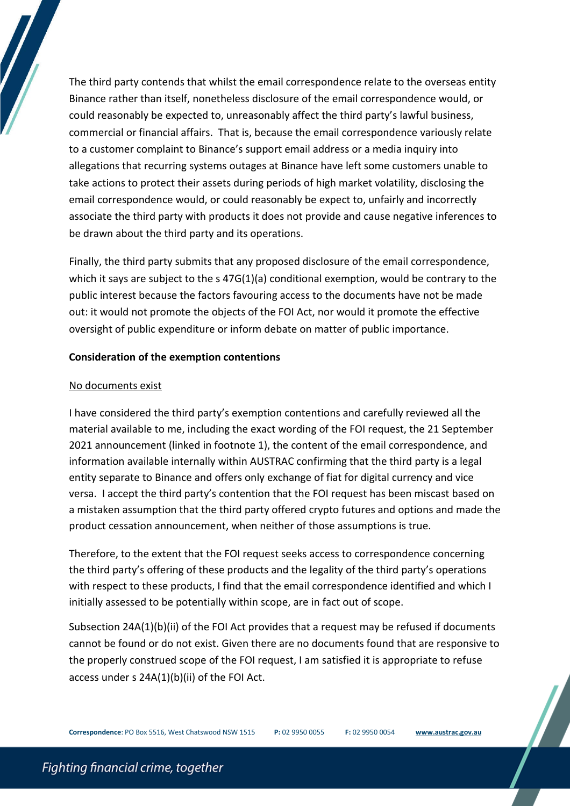The third party contends that whilst the email correspondence relate to the overseas entity Binance rather than itself, nonetheless disclosure of the email correspondence would, or could reasonably be expected to, unreasonably affect the third party's lawful business, commercial or financial affairs. That is, because the email correspondence variously relate to a customer complaint to Binance's support email address or a media inquiry into allegations that recurring systems outages at Binance have left some customers unable to take actions to protect their assets during periods of high market volatility, disclosing the email correspondence would, or could reasonably be expect to, unfairly and incorrectly associate the third party with products it does not provide and cause negative inferences to be drawn about the third party and its operations.

Finally, the third party submits that any proposed disclosure of the email correspondence, which it says are subject to the s 47G(1)(a) conditional exemption, would be contrary to the public interest because the factors favouring access to the documents have not be made out: it would not promote the objects of the FOI Act, nor would it promote the effective oversight of public expenditure or inform debate on matter of public importance.

#### **Consideration of the exemption contentions**

#### No documents exist

I have considered the third party's exemption contentions and carefully reviewed all the material available to me, including the exact wording of the FOI request, the 21 September 2021 announcement (linked in footnote 1), the content of the email correspondence, and information available internally within AUSTRAC confirming that the third party is a legal entity separate to Binance and offers only exchange of fiat for digital currency and vice versa. I accept the third party's contention that the FOI request has been miscast based on a mistaken assumption that the third party offered crypto futures and options and made the product cessation announcement, when neither of those assumptions is true.

Therefore, to the extent that the FOI request seeks access to correspondence concerning the third party's offering of these products and the legality of the third party's operations with respect to these products, I find that the email correspondence identified and which I initially assessed to be potentially within scope, are in fact out of scope.

Subsection 24A(1)(b)(ii) of the FOI Act provides that a request may be refused if documents cannot be found or do not exist. Given there are no documents found that are responsive to the properly construed scope of the FOI request, I am satisfied it is appropriate to refuse access under s 24A(1)(b)(ii) of the FOI Act.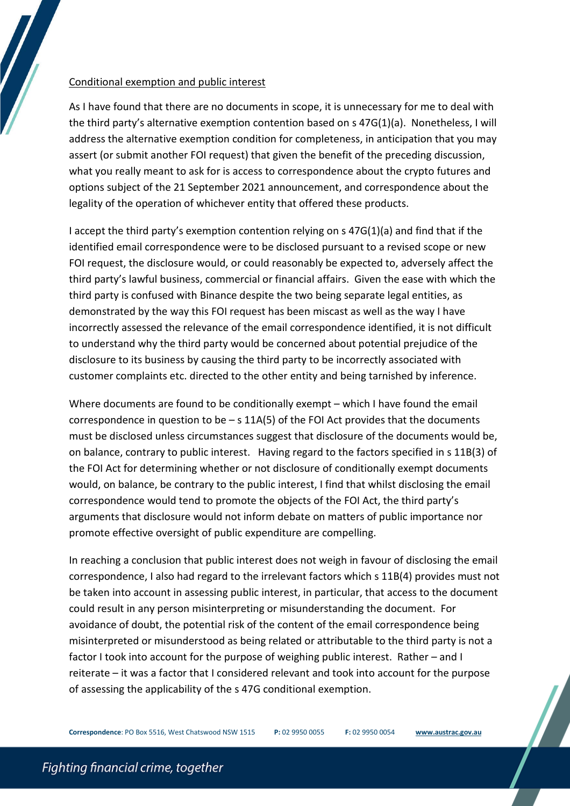#### Conditional exemption and public interest

As I have found that there are no documents in scope, it is unnecessary for me to deal with the third party's alternative exemption contention based on s 47G(1)(a). Nonetheless, I will address the alternative exemption condition for completeness, in anticipation that you may assert (or submit another FOI request) that given the benefit of the preceding discussion, what you really meant to ask for is access to correspondence about the crypto futures and options subject of the 21 September 2021 announcement, and correspondence about the legality of the operation of whichever entity that offered these products.

I accept the third party's exemption contention relying on s 47G(1)(a) and find that if the identified email correspondence were to be disclosed pursuant to a revised scope or new FOI request, the disclosure would, or could reasonably be expected to, adversely affect the third party's lawful business, commercial or financial affairs. Given the ease with which the third party is confused with Binance despite the two being separate legal entities, as demonstrated by the way this FOI request has been miscast as well as the way I have incorrectly assessed the relevance of the email correspondence identified, it is not difficult to understand why the third party would be concerned about potential prejudice of the disclosure to its business by causing the third party to be incorrectly associated with customer complaints etc. directed to the other entity and being tarnished by inference.

Where documents are found to be conditionally exempt – which I have found the email correspondence in question to be  $-$  s 11A(5) of the FOI Act provides that the documents must be disclosed unless circumstances suggest that disclosure of the documents would be, on balance, contrary to public interest. Having regard to the factors specified in s 11B(3) of the FOI Act for determining whether or not disclosure of conditionally exempt documents would, on balance, be contrary to the public interest, I find that whilst disclosing the email correspondence would tend to promote the objects of the FOI Act, the third party's arguments that disclosure would not inform debate on matters of public importance nor promote effective oversight of public expenditure are compelling.

In reaching a conclusion that public interest does not weigh in favour of disclosing the email correspondence, I also had regard to the irrelevant factors which s 11B(4) provides must not be taken into account in assessing public interest, in particular, that access to the document could result in any person misinterpreting or misunderstanding the document. For avoidance of doubt, the potential risk of the content of the email correspondence being misinterpreted or misunderstood as being related or attributable to the third party is not a factor I took into account for the purpose of weighing public interest. Rather – and I reiterate – it was a factor that I considered relevant and took into account for the purpose of assessing the applicability of the s 47G conditional exemption.

**Correspondence**: PO Box 5516, West Chatswood NSW 1515 **P:** 02 9950 0055 **F:** 02 9950 0054 **[www.austrac.gov.au](http://www.austrac.gov.au/)**

# Fighting financial crime, together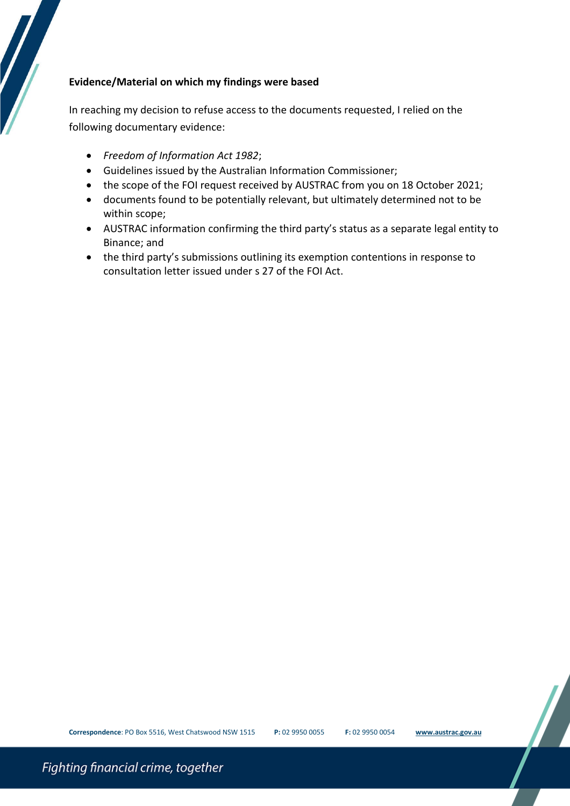# **Evidence/Material on which my findings were based**

In reaching my decision to refuse access to the documents requested, I relied on the following documentary evidence:

- *Freedom of Information Act 1982*;
- Guidelines issued by the Australian Information Commissioner;
- the scope of the FOI request received by AUSTRAC from you on 18 October 2021;
- documents found to be potentially relevant, but ultimately determined not to be within scope;
- AUSTRAC information confirming the third party's status as a separate legal entity to Binance; and
- the third party's submissions outlining its exemption contentions in response to consultation letter issued under s 27 of the FOI Act.

Fighting financial crime, together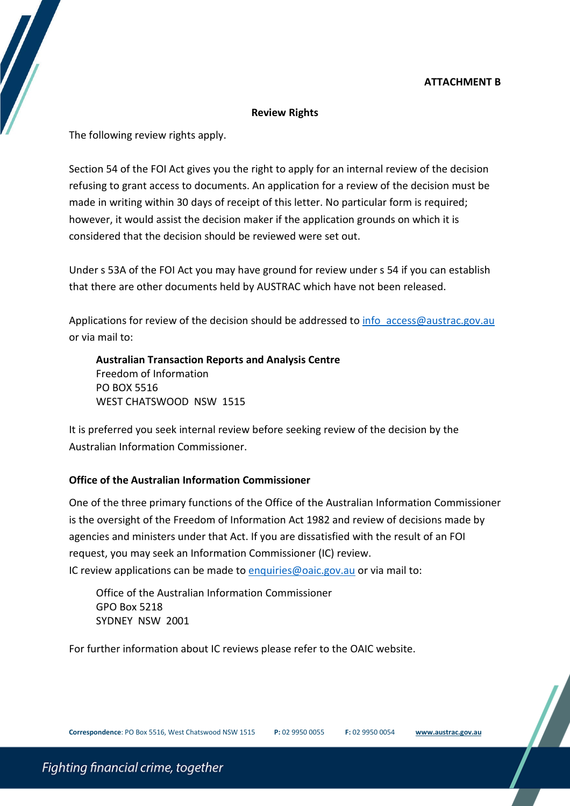# **ATTACHMENT B**

#### **Review Rights**

The following review rights apply.

Section 54 of the FOI Act gives you the right to apply for an internal review of the decision refusing to grant access to documents. An application for a review of the decision must be made in writing within 30 days of receipt of this letter. No particular form is required; however, it would assist the decision maker if the application grounds on which it is considered that the decision should be reviewed were set out.

Under s 53A of the FOI Act you may have ground for review under s 54 if you can establish that there are other documents held by AUSTRAC which have not been released.

Applications for review of the decision should be addressed to [info\\_access@austrac.gov.au](mailto:xxxxxxxxxxx@xxxxxxx.xxx.xx) or via mail to:

**Australian Transaction Reports and Analysis Centre** Freedom of Information PO BOX 5516 WEST CHATSWOOD NSW 1515

It is preferred you seek internal review before seeking review of the decision by the Australian Information Commissioner.

# **Office of the Australian Information Commissioner**

One of the three primary functions of the Office of the Australian Information Commissioner is the oversight of the Freedom of Information Act 1982 and review of decisions made by agencies and ministers under that Act. If you are dissatisfied with the result of an FOI request, you may seek an Information Commissioner (IC) review. IC review applications can be made to [enquiries@oaic.gov.au](mailto:xxxxxxxxx@xxxx.xxx.xx) or via mail to:

Office of the Australian Information Commissioner GPO Box 5218 SYDNEY NSW 2001

For further information about IC reviews please refer to the OAIC website.